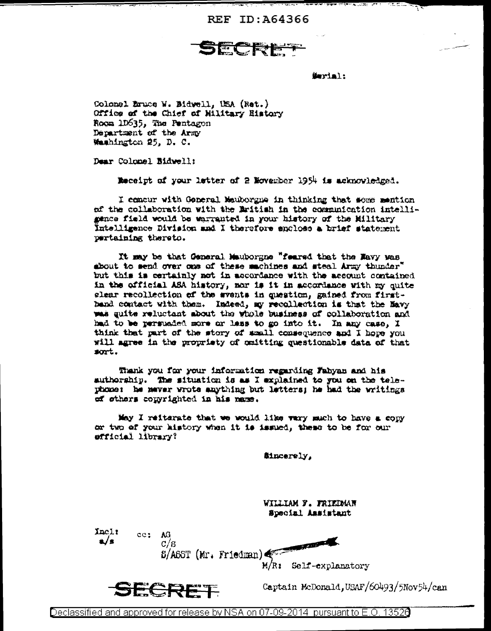**REF ID: A64366** 

遣合

Serial:

weidze a‴t

Colonel Eruce W. Bidwell, USA (Ret.) Office of the Chief of Hilltary History Room 1D635, The Pentagon Department of the Army Washington 25, D. C.

Dear Colomel Bidwell:

Meceipt of your letter of 2 November 1954 is acknowledged.

I concur with General Meuborgne in thinking that mome mention of the collaboration with the Eritish in the communication intellimence field would be warranted in your history of the Military Intelligence Division and I therefore anclose a brief statement pertaining thereto.

It may be that General Mauborgne "feared that the Mavy was shout to send over one of these sachines and steal Army thunder" but this is certainly not in accordance with the account contained in the official ASA history, nor is it in accordance with my quite elear recollection of the svents in question, gained from firstband contact with them. Indeed, my recollection is that the Mavy was guite reluctant about the whole business of collaboration and had to be persuaded more or less to go into it. In any case, I think that part of the story of small consequence and I hope you will agree in the propriety of quitting questionable data of that  $sort.$ 

Thank you for your information regarding Fabyan and his suthorship. The situation is as I explained to you on the telephone: he maver wrote anything but letters; he had the writings of others copyrighted in his name.

May I reitarate that we would like wary much to have a copy or two of your kistory when it is issued, these to be for our efficial library?

**Sincerely,** 

WILLIAM F. FRIEDMAN Special Assistant

Inclt a/s

ce: AG  $c/s$ 

**STATISTICS**  $\delta$ /A65T (Mr. Friedman) M/R: Self-explanatory



Captain McDonald, USAF/60493/5Nov54/can